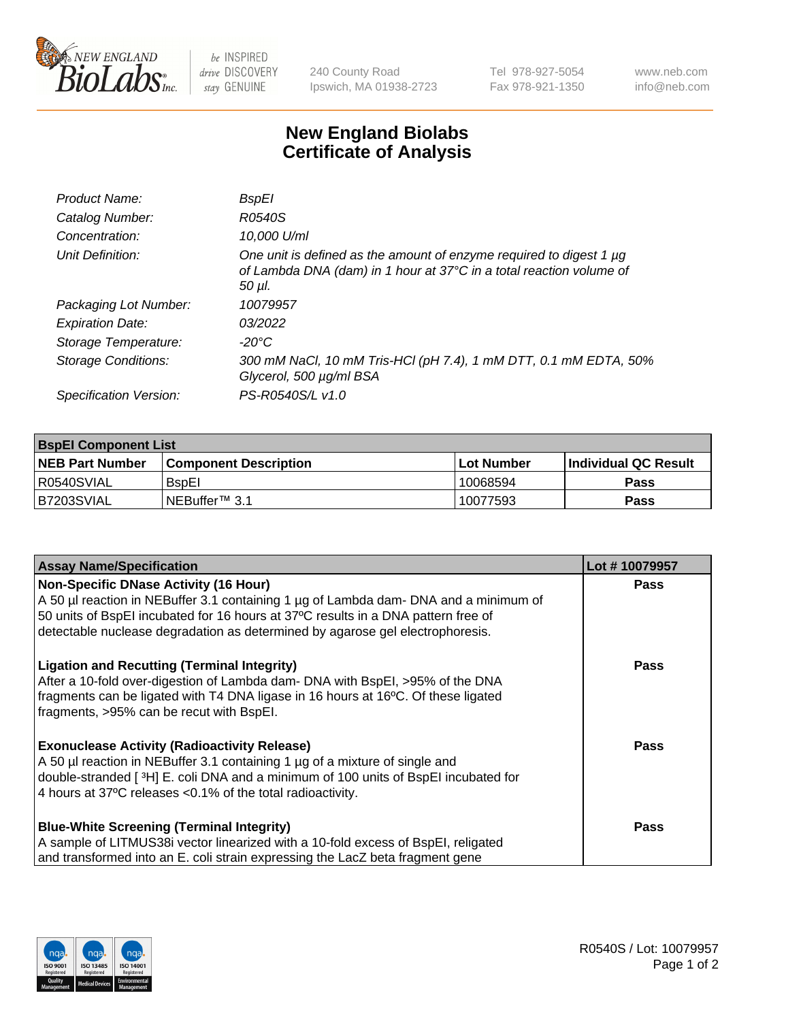

be INSPIRED drive DISCOVERY stay GENUINE

240 County Road Ipswich, MA 01938-2723 Tel 978-927-5054 Fax 978-921-1350 www.neb.com info@neb.com

## **New England Biolabs Certificate of Analysis**

| <b>BspEI</b>                                                                                                                                                |
|-------------------------------------------------------------------------------------------------------------------------------------------------------------|
| R0540S                                                                                                                                                      |
| 10,000 U/ml                                                                                                                                                 |
| One unit is defined as the amount of enzyme required to digest 1 µg<br>of Lambda DNA (dam) in 1 hour at 37°C in a total reaction volume of<br>$50$ $\mu$ l. |
| 10079957                                                                                                                                                    |
| 03/2022                                                                                                                                                     |
| -20°C                                                                                                                                                       |
| 300 mM NaCl, 10 mM Tris-HCl (pH 7.4), 1 mM DTT, 0.1 mM EDTA, 50%<br>Glycerol, 500 µg/ml BSA                                                                 |
| PS-R0540S/L v1.0                                                                                                                                            |
|                                                                                                                                                             |

| <b>BspEI Component List</b> |                              |             |                             |  |
|-----------------------------|------------------------------|-------------|-----------------------------|--|
| <b>NEB Part Number</b>      | <b>Component Description</b> | ⊺Lot Number | <b>Individual QC Result</b> |  |
| I R0540SVIAL                | <b>B</b> spEI                | 10068594    | Pass                        |  |
| IB7203SVIAL                 | INEBuffer™ 3.1               | 10077593    | <b>Pass</b>                 |  |

| <b>Assay Name/Specification</b>                                                                                                                                    | Lot #10079957 |
|--------------------------------------------------------------------------------------------------------------------------------------------------------------------|---------------|
| <b>Non-Specific DNase Activity (16 Hour)</b>                                                                                                                       | <b>Pass</b>   |
| A 50 µl reaction in NEBuffer 3.1 containing 1 µg of Lambda dam- DNA and a minimum of                                                                               |               |
| 50 units of BspEI incubated for 16 hours at 37°C results in a DNA pattern free of<br>detectable nuclease degradation as determined by agarose gel electrophoresis. |               |
|                                                                                                                                                                    |               |
| <b>Ligation and Recutting (Terminal Integrity)</b>                                                                                                                 | <b>Pass</b>   |
| After a 10-fold over-digestion of Lambda dam- DNA with BspEI, >95% of the DNA                                                                                      |               |
| fragments can be ligated with T4 DNA ligase in 16 hours at 16°C. Of these ligated                                                                                  |               |
| fragments, >95% can be recut with BspEI.                                                                                                                           |               |
| <b>Exonuclease Activity (Radioactivity Release)</b>                                                                                                                | Pass          |
| A 50 µl reaction in NEBuffer 3.1 containing 1 µg of a mixture of single and                                                                                        |               |
| double-stranded [3H] E. coli DNA and a minimum of 100 units of BspEI incubated for                                                                                 |               |
| 4 hours at 37°C releases <0.1% of the total radioactivity.                                                                                                         |               |
|                                                                                                                                                                    |               |
| <b>Blue-White Screening (Terminal Integrity)</b>                                                                                                                   | <b>Pass</b>   |
| A sample of LITMUS38i vector linearized with a 10-fold excess of BspEI, religated                                                                                  |               |
| and transformed into an E. coli strain expressing the LacZ beta fragment gene                                                                                      |               |